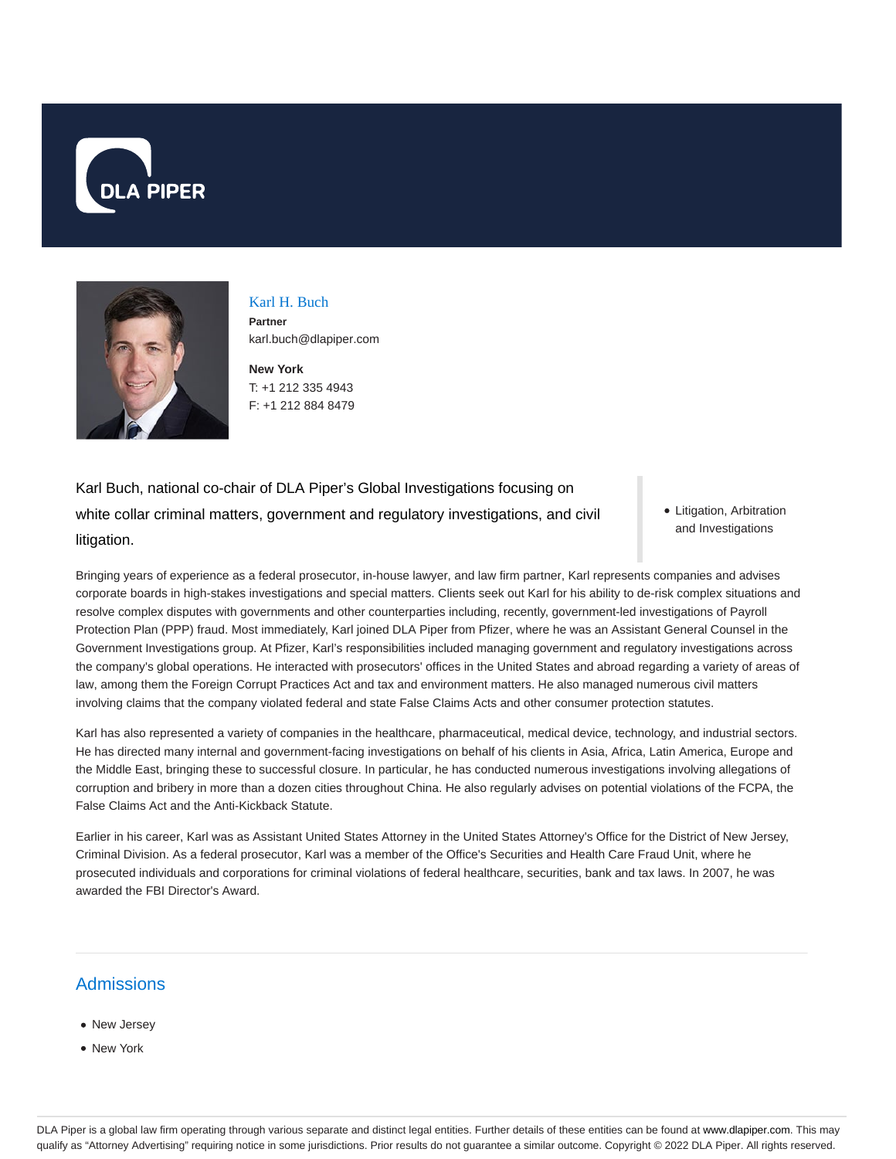



Karl H. Buch **Partner** karl.buch@dlapiper.com

**New York** T: +1 212 335 4943 F: +1 212 884 8479

Karl Buch, national co-chair of DLA Piper's Global Investigations focusing on white collar criminal matters, government and regulatory investigations, and civil litigation.

• Litigation, Arbitration and Investigations

Bringing years of experience as a federal prosecutor, in-house lawyer, and law firm partner, Karl represents companies and advises corporate boards in high-stakes investigations and special matters. Clients seek out Karl for his ability to de-risk complex situations and resolve complex disputes with governments and other counterparties including, recently, government-led investigations of Payroll Protection Plan (PPP) fraud. Most immediately, Karl joined DLA Piper from Pfizer, where he was an Assistant General Counsel in the Government Investigations group. At Pfizer, Karl's responsibilities included managing government and regulatory investigations across the company's global operations. He interacted with prosecutors' offices in the United States and abroad regarding a variety of areas of law, among them the Foreign Corrupt Practices Act and tax and environment matters. He also managed numerous civil matters involving claims that the company violated federal and state False Claims Acts and other consumer protection statutes.

Karl has also represented a variety of companies in the healthcare, pharmaceutical, medical device, technology, and industrial sectors. He has directed many internal and government-facing investigations on behalf of his clients in Asia, Africa, Latin America, Europe and the Middle East, bringing these to successful closure. In particular, he has conducted numerous investigations involving allegations of corruption and bribery in more than a dozen cities throughout China. He also regularly advises on potential violations of the FCPA, the False Claims Act and the Anti-Kickback Statute.

Earlier in his career, Karl was as Assistant United States Attorney in the United States Attorney's Office for the District of New Jersey, Criminal Division. As a federal prosecutor, Karl was a member of the Office's Securities and Health Care Fraud Unit, where he prosecuted individuals and corporations for criminal violations of federal healthcare, securities, bank and tax laws. In 2007, he was awarded the FBI Director's Award.

# **Admissions**

- New Jersey • New York
- 

DLA Piper is a global law firm operating through various separate and distinct legal entities. Further details of these entities can be found at www.dlapiper.com. This may qualify as "Attorney Advertising" requiring notice in some jurisdictions. Prior results do not guarantee a similar outcome. Copyright @ 2022 DLA Piper. All rights reserved.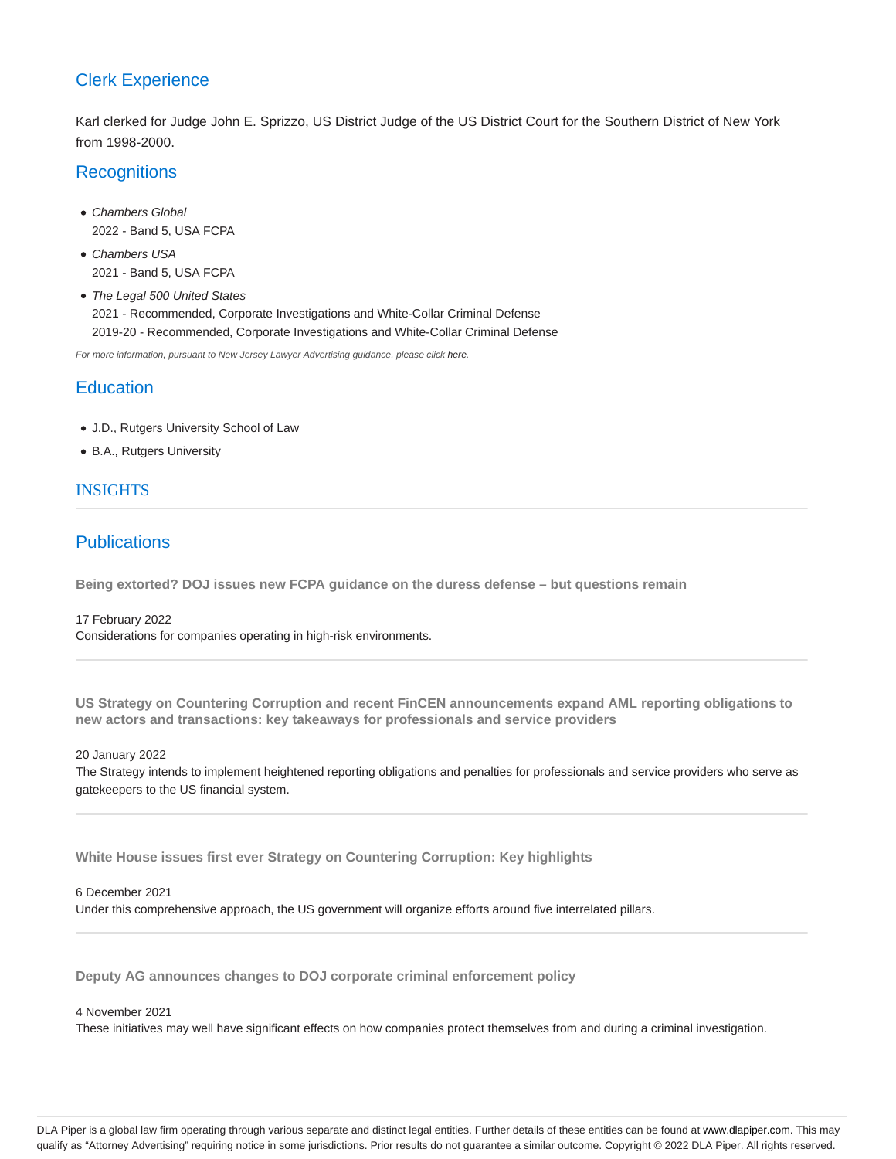## Clerk Experience

Karl clerked for Judge John E. Sprizzo, US District Judge of the US District Court for the Southern District of New York from 1998-2000.

## **Recognitions**

- Chambers Global 2022 - Band 5, USA FCPA
- Chambers USA 2021 - Band 5, USA FCPA
- The Legal 500 United States 2021 - Recommended, Corporate Investigations and White-Collar Criminal Defense 2019-20 - Recommended, Corporate Investigations and White-Collar Criminal Defense

For more information, pursuant to New Jersey Lawyer Advertising guidance, please click here.

## **Education**

- J.D., Rutgers University School of Law
- B.A., Rutgers University

### INSIGHTS

## **Publications**

**Being extorted? DOJ issues new FCPA guidance on the duress defense – but questions remain**

17 February 2022 Considerations for companies operating in high-risk environments.

**US Strategy on Countering Corruption and recent FinCEN announcements expand AML reporting obligations to new actors and transactions: key takeaways for professionals and service providers**

20 January 2022

The Strategy intends to implement heightened reporting obligations and penalties for professionals and service providers who serve as gatekeepers to the US financial system.

**White House issues first ever Strategy on Countering Corruption: Key highlights**

### 6 December 2021

Under this comprehensive approach, the US government will organize efforts around five interrelated pillars.

**Deputy AG announces changes to DOJ corporate criminal enforcement policy**

### 4 November 2021

These initiatives may well have significant effects on how companies protect themselves from and during a criminal investigation.

DLA Piper is a global law firm operating through various separate and distinct legal entities. Further details of these entities can be found at www.dlapiper.com. This may qualify as "Attorney Advertising" requiring notice in some jurisdictions. Prior results do not guarantee a similar outcome. Copyright © 2022 DLA Piper. All rights reserved.